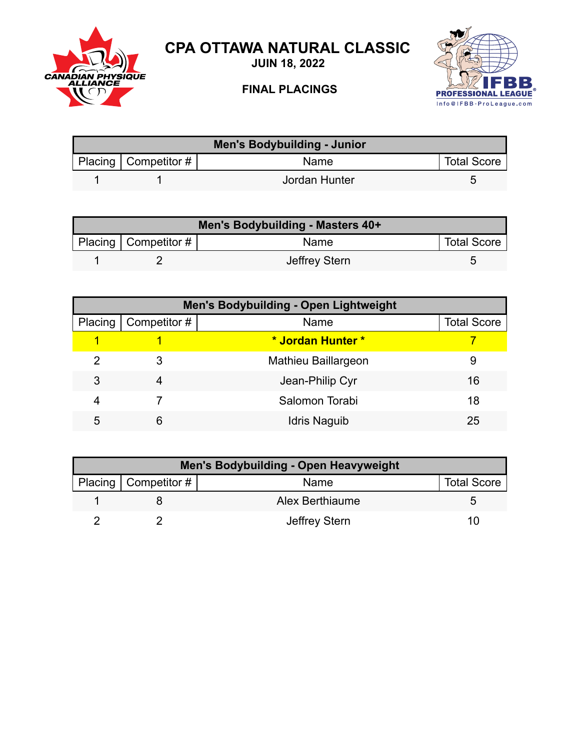

## **CPA OTTAWA NATURAL CLASSIC**

**JUIN 18, 2022**

## **FINAL PLACINGS**



| Men's Bodybuilding - Junior |                          |               |                    |  |
|-----------------------------|--------------------------|---------------|--------------------|--|
|                             | Placing   Competitor $#$ | Name          | <b>Total Score</b> |  |
|                             |                          | Jordan Hunter |                    |  |

| Men's Bodybuilding - Masters 40+ |                        |               |                    |  |
|----------------------------------|------------------------|---------------|--------------------|--|
|                                  | Placing   Competitor # | Name          | <b>Total Score</b> |  |
|                                  |                        | Jeffrey Stern |                    |  |

| <b>Men's Bodybuilding - Open Lightweight</b> |              |                     |                    |  |
|----------------------------------------------|--------------|---------------------|--------------------|--|
| Placing                                      | Competitor # | Name                | <b>Total Score</b> |  |
|                                              |              | * Jordan Hunter *   |                    |  |
| 2                                            | 3            | Mathieu Baillargeon | 9                  |  |
| 3                                            | 4            | Jean-Philip Cyr     | 16                 |  |
| 4                                            |              | Salomon Torabi      | 18                 |  |
| 5                                            | 6            | <b>Idris Naguib</b> | 25                 |  |

| <b>Men's Bodybuilding - Open Heavyweight</b> |                        |                 |                    |  |
|----------------------------------------------|------------------------|-----------------|--------------------|--|
|                                              | Placing   Competitor # | Name            | <b>Total Score</b> |  |
|                                              |                        | Alex Berthiaume |                    |  |
|                                              |                        | Jeffrey Stern   | 111                |  |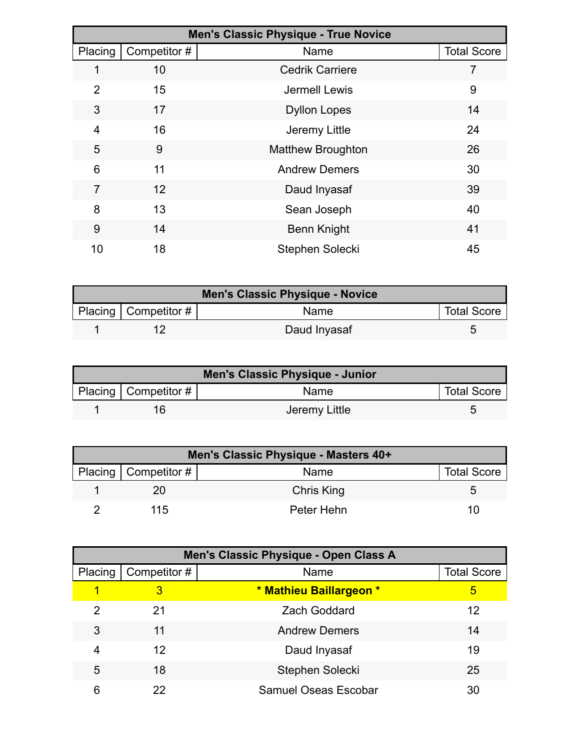|                |                   | <b>Men's Classic Physique - True Novice</b> |                    |
|----------------|-------------------|---------------------------------------------|--------------------|
| Placing        | Competitor #      | Name                                        | <b>Total Score</b> |
|                | 10                | <b>Cedrik Carriere</b>                      |                    |
| $\overline{2}$ | 15                | Jermell Lewis                               | 9                  |
| 3              | 17                | <b>Dyllon Lopes</b>                         | 14                 |
| 4              | 16                | Jeremy Little                               | 24                 |
| 5              | 9                 | <b>Matthew Broughton</b>                    | 26                 |
| 6              | 11                | <b>Andrew Demers</b>                        | 30                 |
| $\overline{7}$ | $12 \overline{ }$ | Daud Inyasaf                                | 39                 |
| 8              | 13                | Sean Joseph                                 | 40                 |
| 9              | 14                | <b>Benn Knight</b>                          | 41                 |
| 10             | 18                | Stephen Solecki                             | 45                 |

| <b>Men's Classic Physique - Novice</b> |                           |              |                    |  |
|----------------------------------------|---------------------------|--------------|--------------------|--|
|                                        | Placing   Competitor $\#$ | <b>Name</b>  | <b>Total Score</b> |  |
|                                        |                           | Daud Inyasaf |                    |  |

| <b>Men's Classic Physique - Junior</b> |                          |               |                    |  |
|----------------------------------------|--------------------------|---------------|--------------------|--|
|                                        | Placing   Competitor $#$ | <b>Name</b>   | <b>Total Score</b> |  |
|                                        |                          | Jeremy Little |                    |  |

| Men's Classic Physique - Masters 40+ |                        |            |                    |  |
|--------------------------------------|------------------------|------------|--------------------|--|
|                                      | Placing   Competitor # | Name       | <b>Total Score</b> |  |
|                                      |                        | Chris King |                    |  |
|                                      | 115                    | Peter Hehn | 1 ( )              |  |

|         | Men's Classic Physique - Open Class A |                             |                    |  |  |
|---------|---------------------------------------|-----------------------------|--------------------|--|--|
| Placing | Competitor #                          | Name                        | <b>Total Score</b> |  |  |
|         | 3                                     | * Mathieu Baillargeon *     | 5                  |  |  |
| 2       | 21                                    | <b>Zach Goddard</b>         | 12                 |  |  |
| 3       | 11                                    | <b>Andrew Demers</b>        | 14                 |  |  |
| 4       | 12                                    | Daud Inyasaf                | 19                 |  |  |
| 5       | 18                                    | Stephen Solecki             | 25                 |  |  |
| 6       | 22                                    | <b>Samuel Oseas Escobar</b> | 30                 |  |  |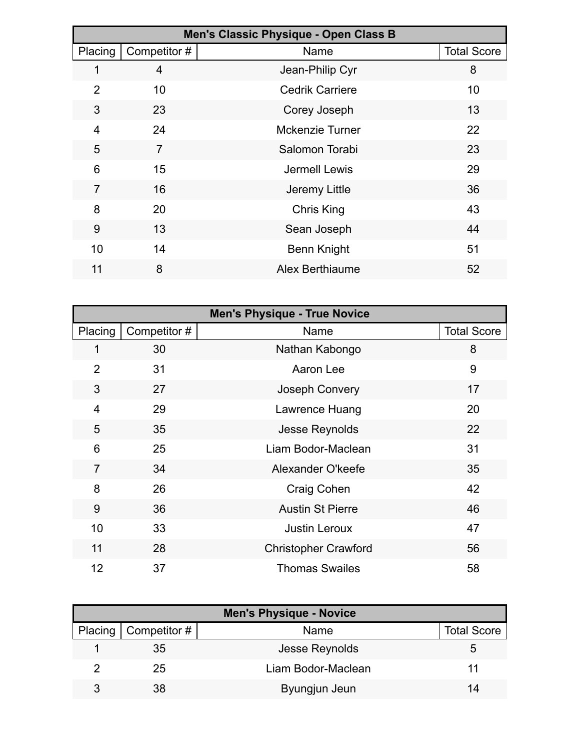|                |                | Men's Classic Physique - Open Class B |                    |
|----------------|----------------|---------------------------------------|--------------------|
| Placing        | Competitor #   | Name                                  | <b>Total Score</b> |
| 1              | 4              | Jean-Philip Cyr                       | 8                  |
| $\overline{2}$ | 10             | <b>Cedrik Carriere</b>                | 10                 |
| 3              | 23             | Corey Joseph                          | 13                 |
| 4              | 24             | <b>Mckenzie Turner</b>                | 22                 |
| 5              | $\overline{7}$ | Salomon Torabi                        | 23                 |
| 6              | 15             | Jermell Lewis                         | 29                 |
| $\overline{7}$ | 16             | Jeremy Little                         | 36                 |
| 8              | 20             | <b>Chris King</b>                     | 43                 |
| 9              | 13             | Sean Joseph                           | 44                 |
| 10             | 14             | <b>Benn Knight</b>                    | 51                 |
| 11             | 8              | Alex Berthiaume                       | 52                 |

| <b>Men's Physique - True Novice</b> |              |                             |                    |  |
|-------------------------------------|--------------|-----------------------------|--------------------|--|
| Placing                             | Competitor # | Name                        | <b>Total Score</b> |  |
| 1                                   | 30           | Nathan Kabongo              | 8                  |  |
| $\overline{2}$                      | 31           | Aaron Lee                   | 9                  |  |
| 3                                   | 27           | Joseph Convery              | 17                 |  |
| 4                                   | 29           | Lawrence Huang              | 20                 |  |
| 5                                   | 35           | Jesse Reynolds              | 22                 |  |
| 6                                   | 25           | Liam Bodor-Maclean          | 31                 |  |
| $\overline{7}$                      | 34           | Alexander O'keefe           | 35                 |  |
| 8                                   | 26           | <b>Craig Cohen</b>          | 42                 |  |
| 9                                   | 36           | <b>Austin St Pierre</b>     | 46                 |  |
| 10                                  | 33           | <b>Justin Leroux</b>        | 47                 |  |
| 11                                  | 28           | <b>Christopher Crawford</b> | 56                 |  |
| 12                                  | 37           | <b>Thomas Swailes</b>       | 58                 |  |

| <b>Men's Physique - Novice</b> |                        |                    |                    |  |
|--------------------------------|------------------------|--------------------|--------------------|--|
|                                | Placing   Competitor # | Name               | <b>Total Score</b> |  |
|                                | 35                     | Jesse Reynolds     | 5                  |  |
|                                | 25                     | Liam Bodor-Maclean | 11                 |  |
| ঽ                              | 38                     | Byungjun Jeun      | 14                 |  |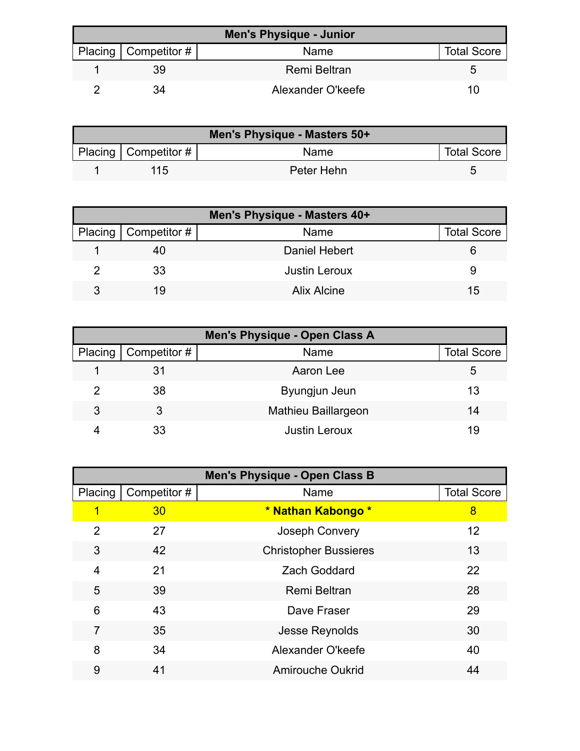| <b>Men's Physique - Junior</b> |                        |                     |                    |
|--------------------------------|------------------------|---------------------|--------------------|
|                                | Placing   Competitor # | Name                | <b>Total Score</b> |
|                                | 39                     | <b>Remi Beltran</b> | :C                 |
|                                | 34                     | Alexander O'keefe   | 10                 |

| Men's Physique - Masters 50+ |                        |            |                    |  |
|------------------------------|------------------------|------------|--------------------|--|
|                              | Placing   Competitor # | Name       | <b>Total Score</b> |  |
|                              | 115                    | Peter Hehn |                    |  |

|   | Men's Physique - Masters 40+ |                      |                    |  |  |
|---|------------------------------|----------------------|--------------------|--|--|
|   | Placing $\vert$ Competitor # | Name                 | <b>Total Score</b> |  |  |
|   | 40                           | Daniel Hebert        |                    |  |  |
|   | 33                           | <b>Justin Leroux</b> |                    |  |  |
| २ | 19                           | Alix Alcine          | 15                 |  |  |

| Men's Physique - Open Class A |                     |                      |                    |  |
|-------------------------------|---------------------|----------------------|--------------------|--|
| Placing <sup>1</sup>          | $\mid$ Competitor # | Name                 | <b>Total Score</b> |  |
|                               | 31                  | Aaron Lee            | 5                  |  |
| 2                             | 38                  | Byungjun Jeun        | 13                 |  |
| 3                             | 3                   | Mathieu Baillargeon  | 14                 |  |
|                               | 33                  | <b>Justin Leroux</b> | 19                 |  |

| <b>Men's Physique - Open Class B</b> |              |                              |                    |  |
|--------------------------------------|--------------|------------------------------|--------------------|--|
| Placing                              | Competitor # | Name                         | <b>Total Score</b> |  |
| 1                                    | 30           | * Nathan Kabongo *           | 8                  |  |
| $\overline{2}$                       | 27           | Joseph Convery               | 12                 |  |
| 3                                    | 42           | <b>Christopher Bussieres</b> | 13                 |  |
| $\overline{4}$                       | 21           | <b>Zach Goddard</b>          | 22                 |  |
| 5                                    | 39           | <b>Remi Beltran</b>          | 28                 |  |
| 6                                    | 43           | Dave Fraser                  | 29                 |  |
| 7                                    | 35           | Jesse Reynolds               | 30                 |  |
| 8                                    | 34           | Alexander O'keefe            | 40                 |  |
| 9                                    | 41           | <b>Amirouche Oukrid</b>      | 44                 |  |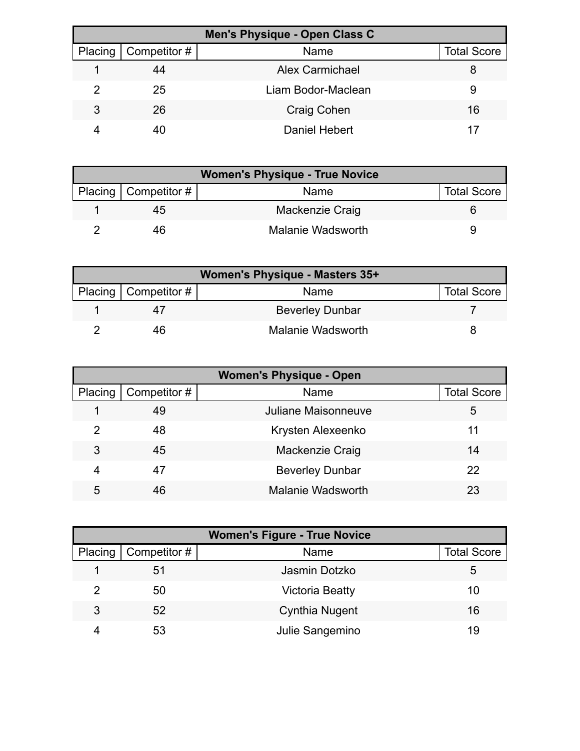| Men's Physique - Open Class C |                        |                        |                    |  |
|-------------------------------|------------------------|------------------------|--------------------|--|
|                               | Placing   Competitor # | Name                   | <b>Total Score</b> |  |
|                               | 44                     | <b>Alex Carmichael</b> |                    |  |
|                               | 25                     | Liam Bodor-Maclean     | 9                  |  |
| 3                             | 26                     | <b>Craig Cohen</b>     | 16                 |  |
|                               |                        | Daniel Hebert          |                    |  |

| <b>Women's Physique - True Novice</b> |                   |                    |  |
|---------------------------------------|-------------------|--------------------|--|
| Placing   Competitor #                | Name              | <b>Total Score</b> |  |
| 45                                    | Mackenzie Craig   |                    |  |
| 46                                    | Malanie Wadsworth |                    |  |

| Women's Physique - Masters 35+ |                        |                        |                    |
|--------------------------------|------------------------|------------------------|--------------------|
|                                | Placing   Competitor # | Name                   | <b>Total Score</b> |
|                                |                        | <b>Beverley Dunbar</b> |                    |
|                                | 46                     | Malanie Wadsworth      |                    |

| <b>Women's Physique - Open</b> |              |                          |                    |
|--------------------------------|--------------|--------------------------|--------------------|
| Placing                        | Competitor # | Name                     | <b>Total Score</b> |
|                                | 49           | Juliane Maisonneuve      | 5                  |
| 2                              | 48           | Krysten Alexeenko        | 11                 |
| 3                              | 45           | Mackenzie Craig          | 14                 |
| 4                              | 47           | <b>Beverley Dunbar</b>   | 22                 |
| 5                              | 46           | <b>Malanie Wadsworth</b> | 23                 |

| <b>Women's Figure - True Novice</b> |                        |                        |                    |  |
|-------------------------------------|------------------------|------------------------|--------------------|--|
|                                     | Placing   Competitor # | Name                   | <b>Total Score</b> |  |
|                                     | 51                     | Jasmin Dotzko          | 5                  |  |
| 2                                   | 50                     | <b>Victoria Beatty</b> | 10                 |  |
| 3                                   | 52                     | <b>Cynthia Nugent</b>  | 16                 |  |
|                                     | 53                     | Julie Sangemino        | 19                 |  |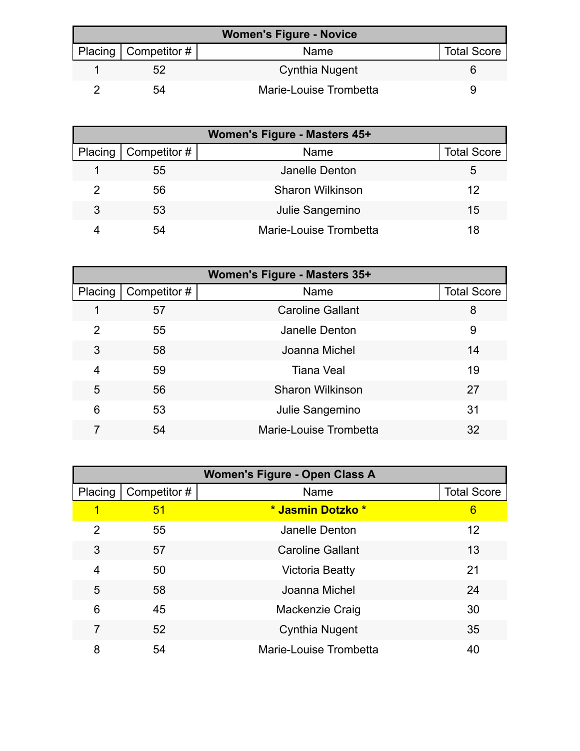| <b>Women's Figure - Novice</b> |                          |                        |                    |
|--------------------------------|--------------------------|------------------------|--------------------|
|                                | Placing   Competitor $#$ | Name                   | <b>Total Score</b> |
|                                | 52                       | Cynthia Nugent         |                    |
|                                | 54                       | Marie-Louise Trombetta |                    |

| Women's Figure - Masters 45+ |              |                         |                    |
|------------------------------|--------------|-------------------------|--------------------|
| Placing                      | Competitor # | Name                    | <b>Total Score</b> |
|                              | 55           | Janelle Denton          | 5                  |
|                              | 56           | <b>Sharon Wilkinson</b> | 12                 |
| 3                            | 53           | Julie Sangemino         | 15                 |
|                              | 54           | Marie-Louise Trombetta  | 18                 |

| Women's Figure - Masters 35+ |              |                         |                    |
|------------------------------|--------------|-------------------------|--------------------|
| Placing                      | Competitor # | Name                    | <b>Total Score</b> |
| 1                            | 57           | <b>Caroline Gallant</b> | 8                  |
| 2                            | 55           | Janelle Denton          | 9                  |
| 3                            | 58           | Joanna Michel           | 14                 |
| 4                            | 59           | <b>Tiana Veal</b>       | 19                 |
| 5                            | 56           | <b>Sharon Wilkinson</b> | 27                 |
| 6                            | 53           | Julie Sangemino         | 31                 |
|                              | 54           | Marie-Louise Trombetta  | 32                 |

| <b>Women's Figure - Open Class A</b> |              |                         |                    |
|--------------------------------------|--------------|-------------------------|--------------------|
| Placing                              | Competitor # | Name                    | <b>Total Score</b> |
|                                      | 51           | * Jasmin Dotzko *       | 6                  |
| 2                                    | 55           | Janelle Denton          | $12 \overline{ }$  |
| 3                                    | 57           | <b>Caroline Gallant</b> | 13                 |
| 4                                    | 50           | <b>Victoria Beatty</b>  | 21                 |
| 5                                    | 58           | Joanna Michel           | 24                 |
| 6                                    | 45           | Mackenzie Craig         | 30                 |
| 7                                    | 52           | Cynthia Nugent          | 35                 |
| 8                                    | 54           | Marie-Louise Trombetta  | 40                 |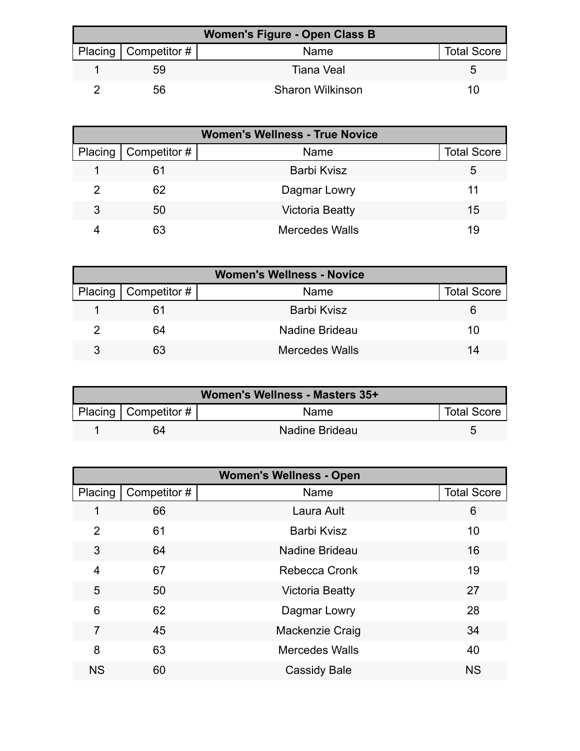| Women's Figure - Open Class B |                        |                         |                    |  |
|-------------------------------|------------------------|-------------------------|--------------------|--|
|                               | Placing   Competitor # | Name                    | <b>Total Score</b> |  |
|                               | 59                     | <b>Tiana Veal</b>       |                    |  |
|                               | 56                     | <b>Sharon Wilkinson</b> | 10                 |  |

| <b>Women's Wellness - True Novice</b> |              |                        |                    |  |
|---------------------------------------|--------------|------------------------|--------------------|--|
| Placing                               | Competitor # | Name                   | <b>Total Score</b> |  |
|                                       | 61           | <b>Barbi Kvisz</b>     | 5                  |  |
|                                       | 62           | Dagmar Lowry           | 11                 |  |
| 3                                     | 50           | <b>Victoria Beatty</b> | 15                 |  |
|                                       | 63           | <b>Mercedes Walls</b>  | 19                 |  |

| <b>Women's Wellness - Novice</b> |                        |                       |                    |  |
|----------------------------------|------------------------|-----------------------|--------------------|--|
|                                  | Placing   Competitor # | Name                  | <b>Total Score</b> |  |
|                                  | 61                     | Barbi Kvisz           |                    |  |
|                                  | 64                     | Nadine Brideau        | 10                 |  |
|                                  | 63                     | <b>Mercedes Walls</b> | 14                 |  |

| Women's Wellness - Masters 35+ |                           |                |                    |  |
|--------------------------------|---------------------------|----------------|--------------------|--|
|                                | Placing   Competitor $\#$ | <b>Name</b>    | <b>Total Score</b> |  |
|                                | 64                        | Nadine Brideau |                    |  |

| <b>Women's Wellness - Open</b> |              |                        |                    |  |
|--------------------------------|--------------|------------------------|--------------------|--|
| Placing                        | Competitor # | Name                   | <b>Total Score</b> |  |
| 1                              | 66           | Laura Ault             | 6                  |  |
| $\overline{2}$                 | 61           | <b>Barbi Kvisz</b>     | 10                 |  |
| 3                              | 64           | Nadine Brideau         | 16                 |  |
| $\overline{4}$                 | 67           | <b>Rebecca Cronk</b>   | 19                 |  |
| 5                              | 50           | <b>Victoria Beatty</b> | 27                 |  |
| 6                              | 62           | Dagmar Lowry           | 28                 |  |
| 7                              | 45           | Mackenzie Craig        | 34                 |  |
| 8                              | 63           | <b>Mercedes Walls</b>  | 40                 |  |
| <b>NS</b>                      | 60           | <b>Cassidy Bale</b>    | <b>NS</b>          |  |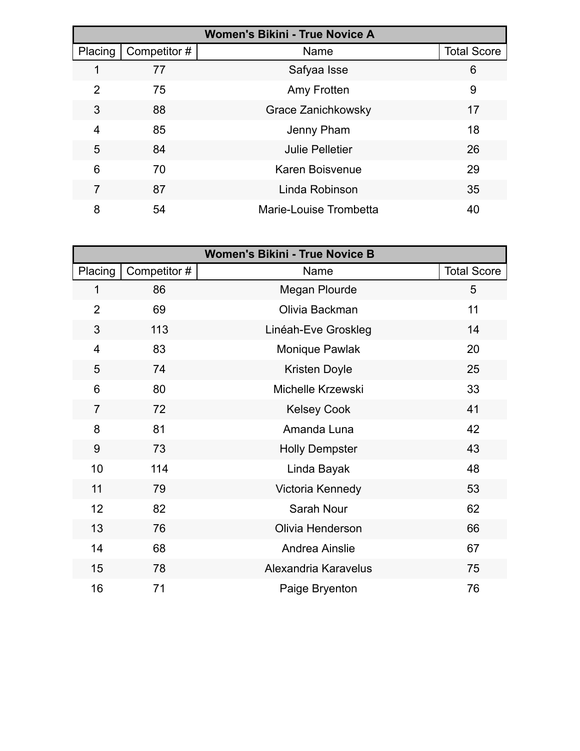| <b>Women's Bikini - True Novice A</b> |              |                        |                    |
|---------------------------------------|--------------|------------------------|--------------------|
| Placing                               | Competitor # | Name                   | <b>Total Score</b> |
|                                       | 77           | Safyaa Isse            | 6                  |
| 2                                     | 75           | Amy Frotten            | 9                  |
| 3                                     | 88           | Grace Zanichkowsky     | 17                 |
| 4                                     | 85           | Jenny Pham             | 18                 |
| 5                                     | 84           | <b>Julie Pelletier</b> | 26                 |
| 6                                     | 70           | Karen Boisvenue        | 29                 |
| 7                                     | 87           | Linda Robinson         | 35                 |
| 8                                     | 54           | Marie-Louise Trombetta | 40                 |

| <b>Women's Bikini - True Novice B</b> |              |                       |                    |  |
|---------------------------------------|--------------|-----------------------|--------------------|--|
| Placing                               | Competitor # | Name                  | <b>Total Score</b> |  |
| 1                                     | 86           | Megan Plourde         | 5                  |  |
| $\overline{2}$                        | 69           | Olivia Backman        | 11                 |  |
| 3                                     | 113          | Linéah-Eve Groskleg   | 14                 |  |
| $\overline{\mathbf{4}}$               | 83           | Monique Pawlak        | 20                 |  |
| 5                                     | 74           | Kristen Doyle         | 25                 |  |
| 6                                     | 80           | Michelle Krzewski     | 33                 |  |
| $\overline{7}$                        | 72           | <b>Kelsey Cook</b>    | 41                 |  |
| 8                                     | 81           | Amanda Luna           | 42                 |  |
| 9                                     | 73           | <b>Holly Dempster</b> | 43                 |  |
| 10                                    | 114          | Linda Bayak           | 48                 |  |
| 11                                    | 79           | Victoria Kennedy      | 53                 |  |
| 12                                    | 82           | <b>Sarah Nour</b>     | 62                 |  |
| 13                                    | 76           | Olivia Henderson      | 66                 |  |
| 14                                    | 68           | Andrea Ainslie        | 67                 |  |
| 15                                    | 78           | Alexandria Karavelus  | 75                 |  |
| 16                                    | 71           | Paige Bryenton        | 76                 |  |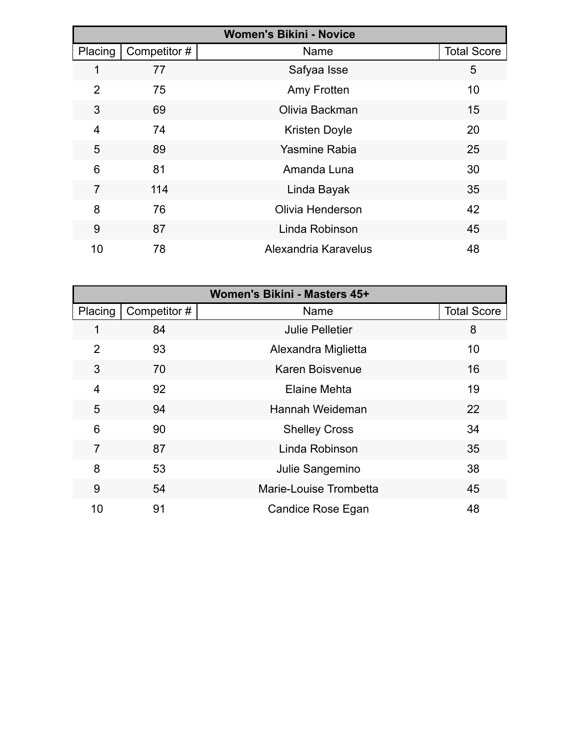| <b>Women's Bikini - Novice</b> |              |                      |                    |
|--------------------------------|--------------|----------------------|--------------------|
| Placing                        | Competitor # | Name                 | <b>Total Score</b> |
|                                | 77           | Safyaa Isse          | 5                  |
| $\overline{2}$                 | 75           | Amy Frotten          | 10                 |
| 3                              | 69           | Olivia Backman       | 15                 |
| 4                              | 74           | <b>Kristen Doyle</b> | 20                 |
| 5                              | 89           | <b>Yasmine Rabia</b> | 25                 |
| 6                              | 81           | Amanda Luna          | 30                 |
| 7                              | 114          | Linda Bayak          | 35                 |
| 8                              | 76           | Olivia Henderson     | 42                 |
| 9                              | 87           | Linda Robinson       | 45                 |
| 10                             | 78           | Alexandria Karavelus | 48                 |

| Women's Bikini - Masters 45+ |              |                        |                    |
|------------------------------|--------------|------------------------|--------------------|
| Placing                      | Competitor # | Name                   | <b>Total Score</b> |
| 1                            | 84           | <b>Julie Pelletier</b> | 8                  |
| $\overline{2}$               | 93           | Alexandra Miglietta    | 10                 |
| 3                            | 70           | Karen Boisvenue        | 16                 |
| 4                            | 92           | Elaine Mehta           | 19                 |
| 5                            | 94           | Hannah Weideman        | 22                 |
| 6                            | 90           | <b>Shelley Cross</b>   | 34                 |
| 7                            | 87           | Linda Robinson         | 35                 |
| 8                            | 53           | Julie Sangemino        | 38                 |
| 9                            | 54           | Marie-Louise Trombetta | 45                 |
| 10                           | 91           | Candice Rose Egan      | 48                 |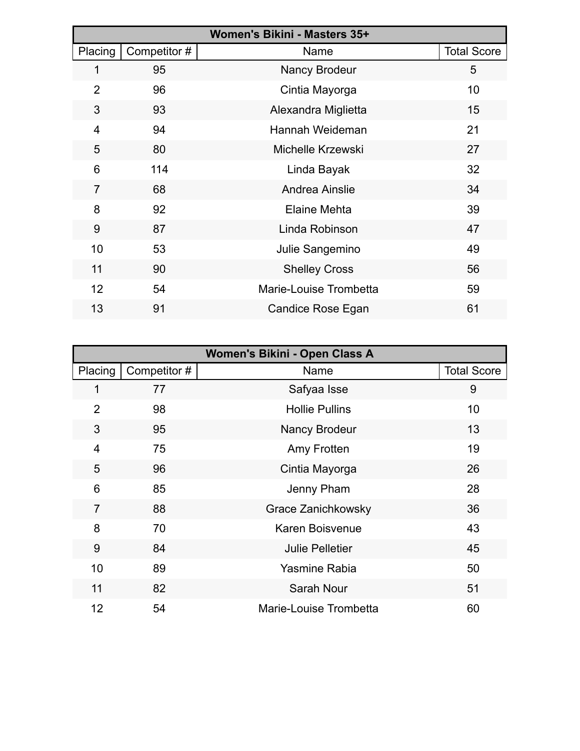| Women's Bikini - Masters 35+ |              |                        |                    |
|------------------------------|--------------|------------------------|--------------------|
| Placing                      | Competitor # | Name                   | <b>Total Score</b> |
| 1                            | 95           | <b>Nancy Brodeur</b>   | 5                  |
| $\overline{2}$               | 96           | Cintia Mayorga         | 10                 |
| 3                            | 93           | Alexandra Miglietta    | 15                 |
| 4                            | 94           | Hannah Weideman        | 21                 |
| 5                            | 80           | Michelle Krzewski      | 27                 |
| 6                            | 114          | Linda Bayak            | 32                 |
| $\overline{7}$               | 68           | Andrea Ainslie         | 34                 |
| 8                            | 92           | <b>Elaine Mehta</b>    | 39                 |
| 9                            | 87           | Linda Robinson         | 47                 |
| 10                           | 53           | Julie Sangemino        | 49                 |
| 11                           | 90           | <b>Shelley Cross</b>   | 56                 |
| 12                           | 54           | Marie-Louise Trombetta | 59                 |
| 13                           | 91           | Candice Rose Egan      | 61                 |

| Women's Bikini - Open Class A |              |                           |                    |  |  |
|-------------------------------|--------------|---------------------------|--------------------|--|--|
| Placing                       | Competitor # | Name                      | <b>Total Score</b> |  |  |
| 1                             | 77           | Safyaa Isse               | 9                  |  |  |
| $\overline{2}$                | 98           | <b>Hollie Pullins</b>     | 10                 |  |  |
| 3                             | 95           | <b>Nancy Brodeur</b>      | 13                 |  |  |
| 4                             | 75           | Amy Frotten               | 19                 |  |  |
| 5                             | 96           | Cintia Mayorga            | 26                 |  |  |
| 6                             | 85           | Jenny Pham                | 28                 |  |  |
| $\overline{7}$                | 88           | <b>Grace Zanichkowsky</b> | 36                 |  |  |
| 8                             | 70           | <b>Karen Boisvenue</b>    | 43                 |  |  |
| 9                             | 84           | <b>Julie Pelletier</b>    | 45                 |  |  |
| 10                            | 89           | <b>Yasmine Rabia</b>      | 50                 |  |  |
| 11                            | 82           | <b>Sarah Nour</b>         | 51                 |  |  |
| 12                            | 54           | Marie-Louise Trombetta    | 60                 |  |  |